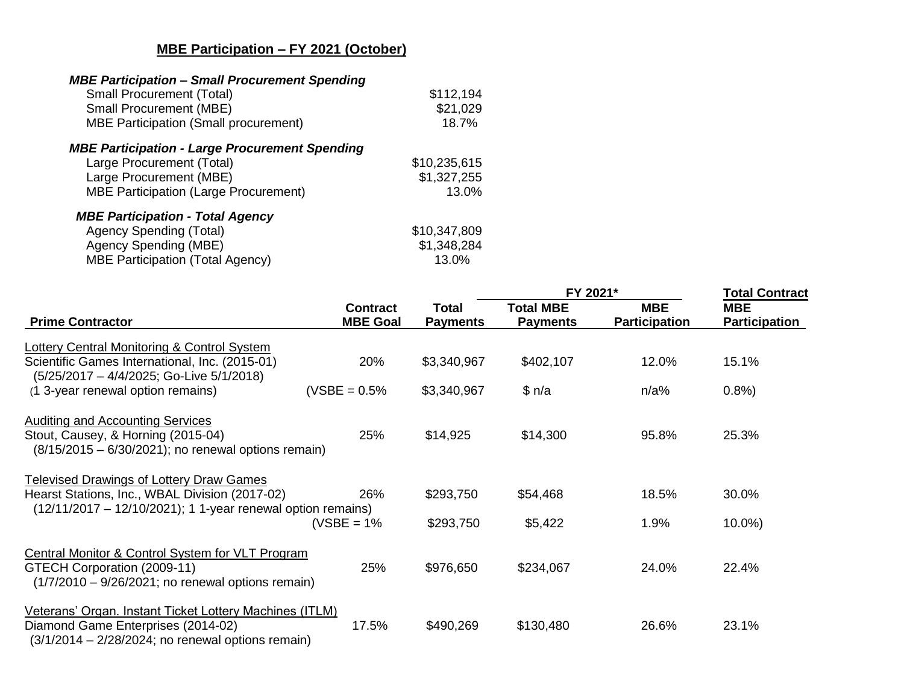## **MBE Participation – FY 2021 (October)**

| <b>MBE Participation - Small Procurement Spending</b><br><b>Small Procurement (Total)</b><br><b>Small Procurement (MBE)</b><br><b>MBE Participation (Small procurement)</b> | \$112,194<br>\$21,029<br>18.7%       |
|-----------------------------------------------------------------------------------------------------------------------------------------------------------------------------|--------------------------------------|
| <b>MBE Participation - Large Procurement Spending</b><br>Large Procurement (Total)<br>Large Procurement (MBE)<br><b>MBE Participation (Large Procurement)</b>               | \$10,235,615<br>\$1,327,255<br>13.0% |
| <b>MBE Participation - Total Agency</b><br>Agency Spending (Total)<br>Agency Spending (MBE)<br><b>MBE Participation (Total Agency)</b>                                      | \$10,347,809<br>\$1,348,284<br>13.0% |

|                                                                                                                                                      |                                    |                          | FY 2021*                            | <b>Total Contract</b>              |                                    |
|------------------------------------------------------------------------------------------------------------------------------------------------------|------------------------------------|--------------------------|-------------------------------------|------------------------------------|------------------------------------|
| <b>Prime Contractor</b>                                                                                                                              | <b>Contract</b><br><b>MBE Goal</b> | Total<br><b>Payments</b> | <b>Total MBE</b><br><b>Payments</b> | <b>MBE</b><br><b>Participation</b> | <b>MBE</b><br><b>Participation</b> |
| Lottery Central Monitoring & Control System                                                                                                          |                                    |                          |                                     |                                    |                                    |
| Scientific Games International, Inc. (2015-01)<br>(5/25/2017 - 4/4/2025; Go-Live 5/1/2018)                                                           | 20%                                | \$3,340,967              | \$402,107                           | 12.0%                              | 15.1%                              |
| (1 3-year renewal option remains)                                                                                                                    | $(VSBE = 0.5%$                     | \$3,340,967              | \$n/a                               | $n/a\%$                            | 0.8%                               |
| <b>Auditing and Accounting Services</b><br>Stout, Causey, & Horning (2015-04)<br>$(8/15/2015 - 6/30/2021)$ ; no renewal options remain)              | 25%                                | \$14,925                 | \$14,300                            | 95.8%                              | 25.3%                              |
| Televised Drawings of Lottery Draw Games                                                                                                             |                                    |                          |                                     |                                    |                                    |
| Hearst Stations, Inc., WBAL Division (2017-02)                                                                                                       | 26%                                | \$293,750                | \$54,468                            | 18.5%                              | 30.0%                              |
| $(12/11/2017 - 12/10/2021)$ ; 1 1-year renewal option remains)                                                                                       | (VSBE = 1%                         | \$293,750                | \$5,422                             | 1.9%                               | $10.0\%$                           |
| Central Monitor & Control System for VLT Program<br>GTECH Corporation (2009-11)<br>$(1/7/2010 - 9/26/2021)$ ; no renewal options remain)             | 25%                                | \$976,650                | \$234,067                           | 24.0%                              | 22.4%                              |
| Veterans' Organ. Instant Ticket Lottery Machines (ITLM)<br>Diamond Game Enterprises (2014-02)<br>$(3/1/2014 - 2/28/2024;$ no renewal options remain) | 17.5%                              | \$490,269                | \$130,480                           | 26.6%                              | 23.1%                              |